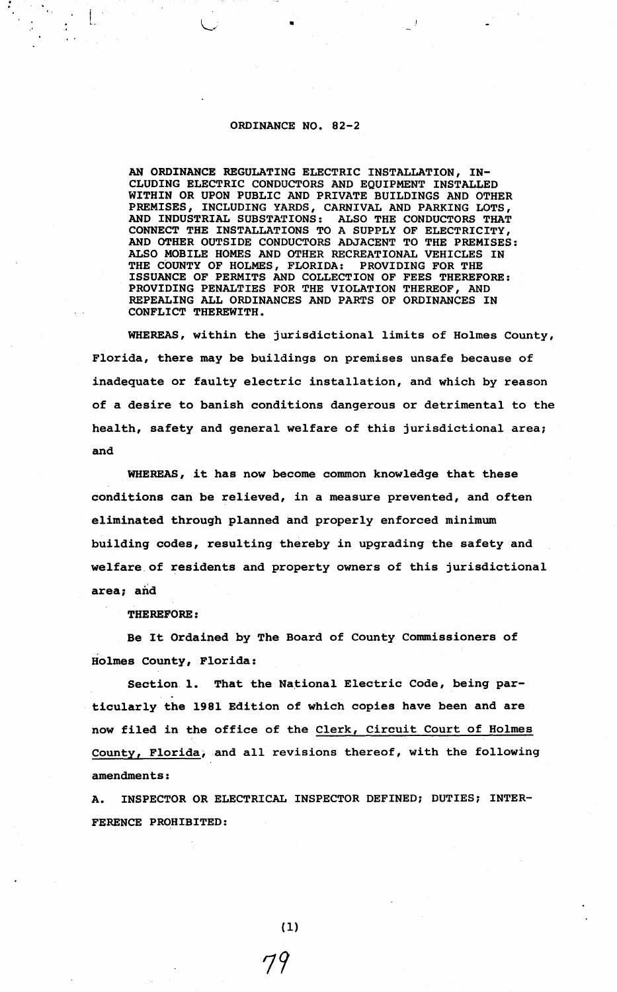## ORDINANCE NO. 82-2

AN ORDINANCE REGULATING ELECTRIC INSTALLATION, IN-CLUDING ELECTRIC CONDUCTORS AND EQUIPMENT INSTALLED WITHIN OR UPON PUBLIC AND PRIVATE BUILDINGS AND OTHER PREMISES, INCLUDING YARDS, CARNIVAL AND PARKING LOTS, AND INDUSTRIAL SUBSTATIONS: ALSO THE CONDUCTORS THAT AND INDUSTRIAL SUBSTATIONS: CONNECT THE INSTALLATIONS TO A SUPPLY OF ELECTRICITY, AND OTHER OUTSIDE CONDUCTORS ADJACENT TO THE PREMISES: ALSO MOBILE HOMES AND OTHER RECREATIONAL VEHICLES IN THE COUNTY OF HOLMES, FLORIDA: PROVIDING FOR THE THE COUNTY OF HOLMES, FLORIDA: ISSUANCE OF PERMITS AND COLLECTION OF FEES THEREFORE: PROVIDING PENALTIES FOR THE VIOLATION THEREOF, AND REPEALING ALL ORDINANCES AND PARTS OF ORDINANCES IN **CONFLICT THEREWITH.** 

WHEREAS, within the jurisdictional limits of Holmes County, Florida, there may be buildings on premises unsafe because of inadequate or faulty electric installation, and which by reason of a desire to banish conditions dangerous or detrimental to the health, safety and general welfare of this jurisdictional area; and

WHEREAS, it has now become common knowledge that these conditions can be relieved, in a measure prevented, and often eliminated through planned and properly enforced minimum building codes, resulting thereby in upgrading the safety and [welfare.of](https://welfare.of) residents and property owners of this jurisdictional area; and

**THEREFORE:** 

Be It Ordained by The Board of County Commissioners of Holmes county, Florida:

Section 1. That the National Electric Code, being particularly the 1981 Edition of which copies have been and are now filed in the office of the Clerk, Circuit Court of Holmes County, Florida, and all revisions thereof, with the following amendments:

A. INSPECTOR OR ELECTRICAL INSPECTOR DEFINED; DUTIES; INTER-FERENCE PROHIBITED:

 $(1)$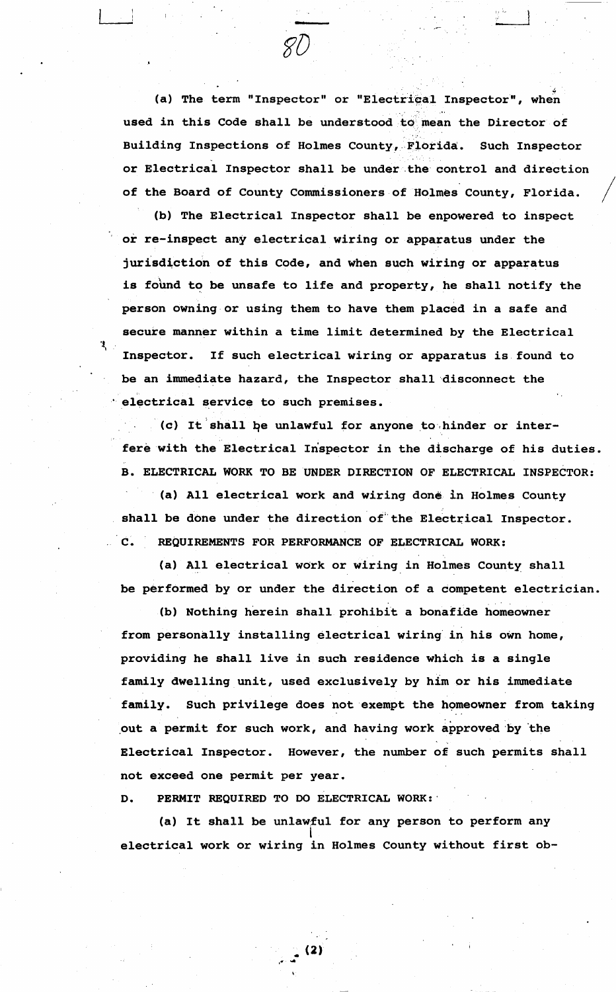(a) The term "Inspector" or "Electrical Inspector", when used in this Code shall be understood to mean the Director of Building Inspections of Holmes County, Florida. Such Inspector or Electrical Inspector shall be under the control and direction of the Board of County Commissioners of Holmes County, Florida.

(b) The Electrical Inspector shall be enpowered to inspect or re-inspect any electrical wiring or apparatus under the jurisdiction of this Code, and when such wiring or apparatus is found to be unsafe to life and property, he shall notify the person owning or using them to have them placed in a safe and secure manner within a time limit determined by the Electrical Inspector. If such electrical wiring or apparatus is found to be an immediate hazard, the Inspector shall ·disconnect the electrical service to such premises.

· (c) It'shall *qe* unlawful for anyone to·,hinder or interfere with the Electrical Inspector in the discharge of his duties. B. ELECTRICAL WORK TO BE UNDER DIRECTION OF ELECTRICAL INSPECTOR:

(a) All electrical work and wiring done in Holmes County shall be done under the direction of the Electrical Inspector. **C. REQUIREMENTS FOR PERFORMANCE OF ELECTRICAL WORK:** 

(a) All electrical work or wiring in Holmes County shall be performed by or under the direction of a competent electrician.

(b) Nothing herein shall prohibit a bonafide homeowner from personally installing electrical wiring in his own home, providing he shall live in such residence which is a single family dwelling unit, used exclusively by him or his immediate family. Such privilege does not exempt the homeowner from taking out a permit for such work, and having work approved by the Electrical Inspector. However, the number of such permits shall not exceed one permit per year.

D. **PERMIT** REQUIRED TO DO ELECTRICAL WORK: ·

(a) It shall be unlawful for any person to perform any electrical work or wiring in Holmes County without first ob

(2)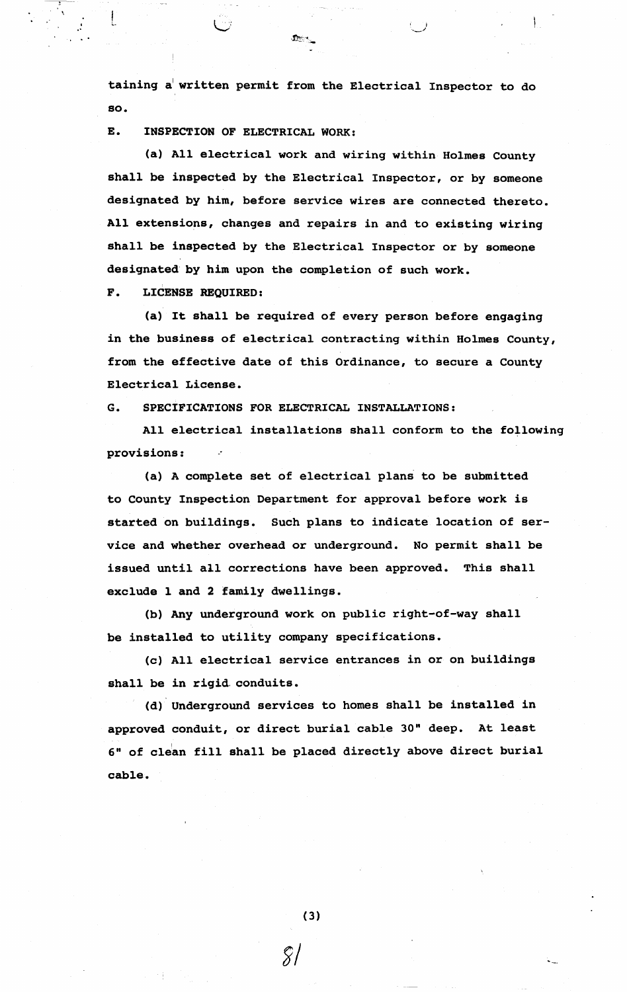taining a written permit from the Electrical Inspector to do **so.** 

E. **INSPECTION** OF ELECTRICAL WORK:

(a) All electrical work and wiring within Holmes county shall be inspected by the Electrical Inspector, or by someone designated by him, before service wires are connected thereto. All extensions, changes and repairs in and to existing wiring shall be inspected by the Electrical Inspector or by someone designated by him upon the completion of such work.

**F. LICENSE REQUIRED:** 

(a) It shall be required of every person before engaging **in the business** of electrical contracting within Holmes County, from the effective date of this Ordinance, to secure a County Electrical **License.** 

**G. SPECIFICATIONS FOR ELECTRICAL INSTALLATIONS:** 

All electrical installations shall conform to the following **provisions:** 

(a) A complete set of electrical plans to be submitted to county Inspection Department for approval before work is started on buildings. Such plans to indicate location of service and whether overhead or underground. No permit shall be issued until all corrections have been approved. This shall exclude 1 and 2 family dwellings.

(b) Any underground work on public right-of-way shall be installed to utility company specifications.

(c) All electrical service entrances in or on buildings shall be in rigid. conduits.

(d) Underground services to homes shall be installed in approved conduit, or direct burial cable 30" deep. At least 6" of clean fill shall be placed directly above direct burial **cable.** 

(3)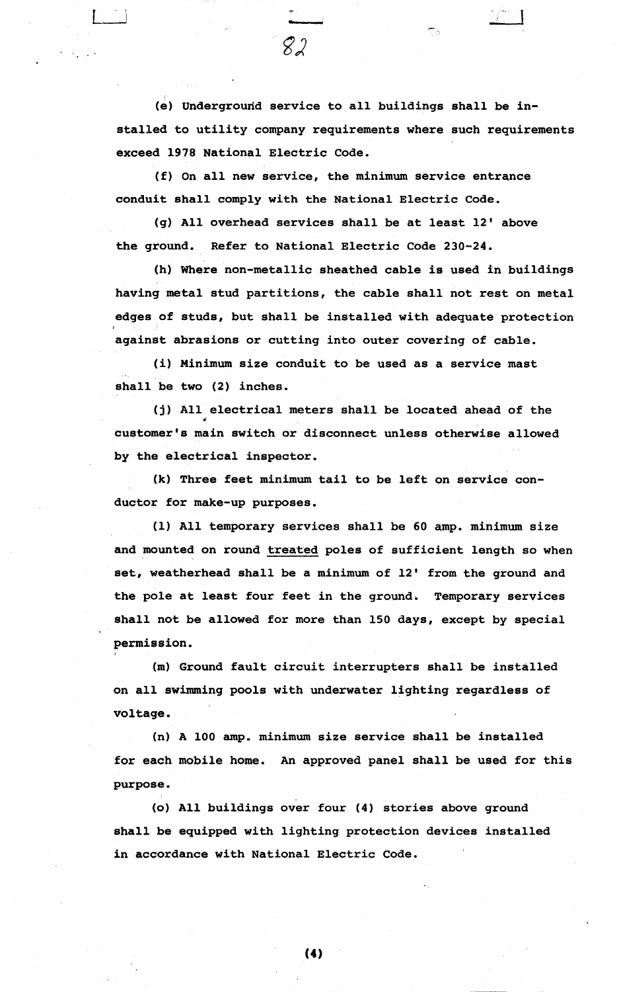(e) Undergrourid service to all buildings shall be in stalled to utility company requirements where such requirements exceed 1978 National Electric Code.

(f) On all new service, the minimum service entrance conduit shall comply with the National Electric Code.

(g) All overhead services shall be at least 12' above the ground. Refer to National Electric Code 230-24.

(h) Where non-metallic sheathed cable is used in buildings having metal stud partitions, the cable shall not rest on metal edges of studs, but shall be installed with adequate protection against abrasions or cutting into outer covering of cable.

(i) Minimum size conduit to be used as a service mast shall be two (2) inches.

(j) All electrical meters shall be located ahead of the customer's main switch or disconnect unless otherwise allowed by the electrical inspector.

(k) Three feet minimum tail to be left on service conductor for make-up purposes.

(1) All temporary services shall be 60 amp. minimum size and mounted on round treated poles of sufficient length so when set, weatherhead shall be a minimum of 12' from the ground and the pole at least four feet in the ground. Temporary services shall not be allowed for more than 150 days, except by special permission.

(m) Ground fault circuit interrupters shall be installed on all swimming pools with underwater lighting regardless of voltage.

(n) A 100 amp. minimum size service shall be installed for each mobile home. An approved panel shall be used for this purpose.

(o) All buildings over four (4) stories above ground shall be equipped with lighting protection devices installed in accordance with National Electric Code.

(4)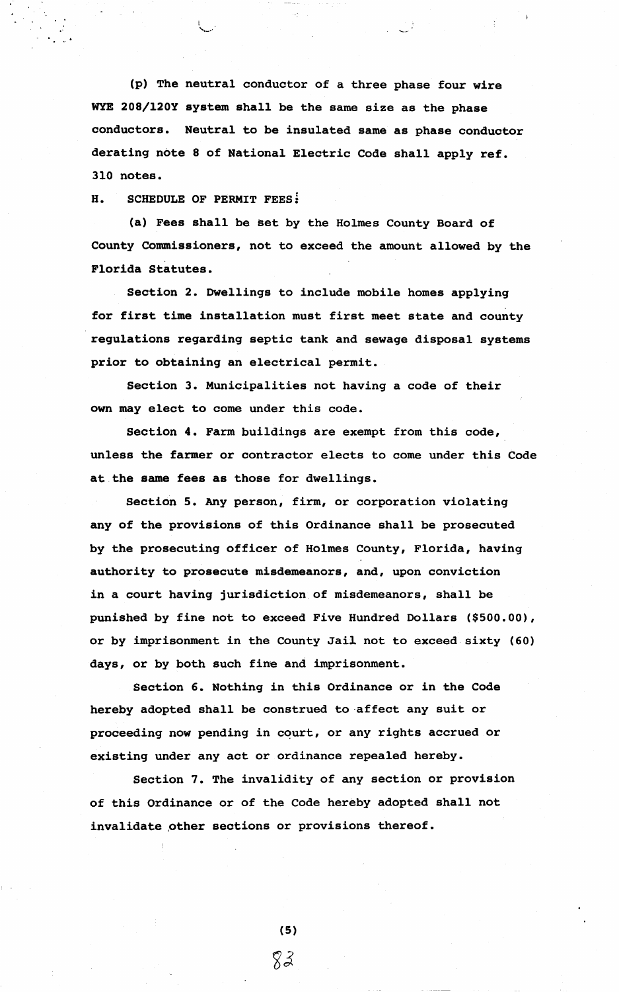(p) The neutral conductor of a three phase four wire WYE 208/120Y system shall be the same size as the phase conductors. Neutral to be insulated same as phase conductor derating note 8 of National Electric Code shall apply ref. 310 notes.

**H. SCHEDULE OF PERMIT FEESi** 

(a) Fees shall be set by the Holmes County Board of County Commissioners, not to exceed the amount allowed by the Florida Statutes.

Section 2. Dwellings to include mobile homes applying for first time installation must first meet state and county regulations regarding septic tank and sewage disposal systems prior to obtaining an electrical permit.

Section 3. Municipalities not having a code of their own may elect to come under this code.

Section 4. Farm buildings are exempt from this code, unless the farmer or contractor elects to come under this Code at the **same fees as** those for dwellings.

Section **S. Any** person, firm, or corporation violating any of the provisions of this Ordinance shall be prosecuted by the prosecuting officer of Holmes County, Florida, having authority to prosecute misdemeanors, and, upon conviction in a court having jurisdiction of misdemeanors, shall be punished by fine not to exceed Five Hundred Dollars (\$500.00), or by imprisonment in the County Jail not to exceed sixty (60) days, or by both such fine and imprisonment.

Section 6. Nothing in this Ordinance or in the Code hereby adopted shall be construed to-affect any suit or proceeding now pending in court, or any rights accrued or existing under any act or ordinance repealed hereby.

Section 7. The invalidity of any section or provision of this Ordinance or of the Code hereby adopted shall not invalidate other sections or provisions thereof.

> $(5)$ 83